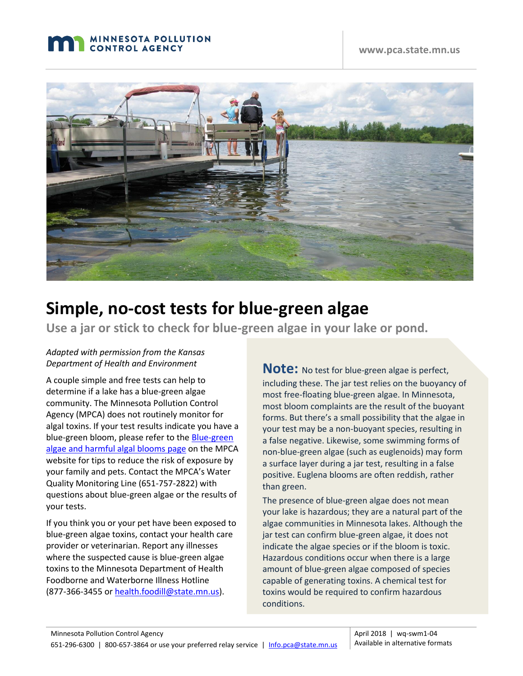



# **Simple, no-cost tests for blue-green algae**

**Use a jar or stick to check for blue-green algae in your lake or pond.**

#### *Adapted with permission from the Kansas Department of Health and Environment*

A couple simple and free tests can help to determine if a lake has a blue-green algae community. The Minnesota Pollution Control Agency (MPCA) does not routinely monitor for algal toxins. If your test results indicate you have a blue-green bloom, please refer to the **Blue-green** [algae and harmful algal blooms page](https://www.pca.state.mn.us/water/blue-green-algae-and-harmful-algal-blooms) on the MPCA website for tips to reduce the risk of exposure by your family and pets. Contact the MPCA's Water Quality Monitoring Line (651-757-2822) with questions about blue-green algae or the results of your tests.

If you think you or your pet have been exposed to blue-green algae toxins, contact your health care provider or veterinarian. Report any illnesses where the suspected cause is blue-green algae toxins to the Minnesota Department of Health Foodborne and Waterborne Illness Hotline (877-366-3455 o[r health.foodill@state.mn.us\)](mailto:health.foodill@state.mn.us).

**Note:** No test for blue-green algae is perfect, including these. The jar test relies on the buoyancy of most free-floating blue-green algae. In Minnesota, most bloom complaints are the result of the buoyant forms. But there's a small possibility that the algae in your test may be a non-buoyant species, resulting in a false negative. Likewise, some swimming forms of non-blue-green algae (such as euglenoids) may form a surface layer during a jar test, resulting in a false positive. Euglena blooms are often reddish, rather than green.

The presence of blue-green algae does not mean your lake is hazardous; they are a natural part of the algae communities in Minnesota lakes. Although the jar test can confirm blue-green algae, it does not indicate the algae species or if the bloom is toxic. Hazardous conditions occur when there is a large amount of blue-green algae composed of species capable of generating toxins. A chemical test for toxins would be required to confirm hazardous conditions.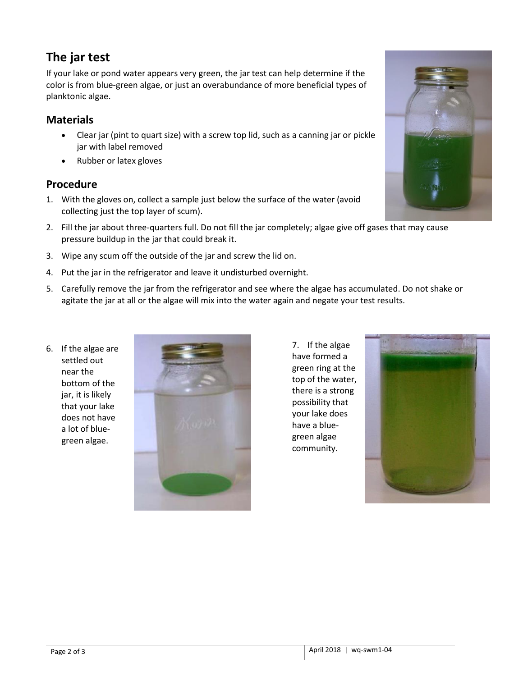## **The jar test**

If your lake or pond water appears very green, the jar test can help determine if the color is from blue-green algae, or just an overabundance of more beneficial types of planktonic algae.

#### **Materials**

- Clear jar (pint to quart size) with a screw top lid, such as a canning jar or pickle jar with label removed
- Rubber or latex gloves

#### **Procedure**

- 1. With the gloves on, collect a sample just below the surface of the water (avoid collecting just the top layer of scum).
- 2. Fill the jar about three-quarters full. Do not fill the jar completely; algae give off gases that may cause pressure buildup in the jar that could break it.
- 3. Wipe any scum off the outside of the jar and screw the lid on.
- 4. Put the jar in the refrigerator and leave it undisturbed overnight.
- 5. Carefully remove the jar from the refrigerator and see where the algae has accumulated. Do not shake or agitate the jar at all or the algae will mix into the water again and negate your test results.
- 6. If the algae are settled out near the bottom of the jar, it is likely that your lake does not have a lot of bluegreen algae.



7. If the algae have formed a green ring at the top of the water, there is a strong possibility that your lake does have a bluegreen algae community.